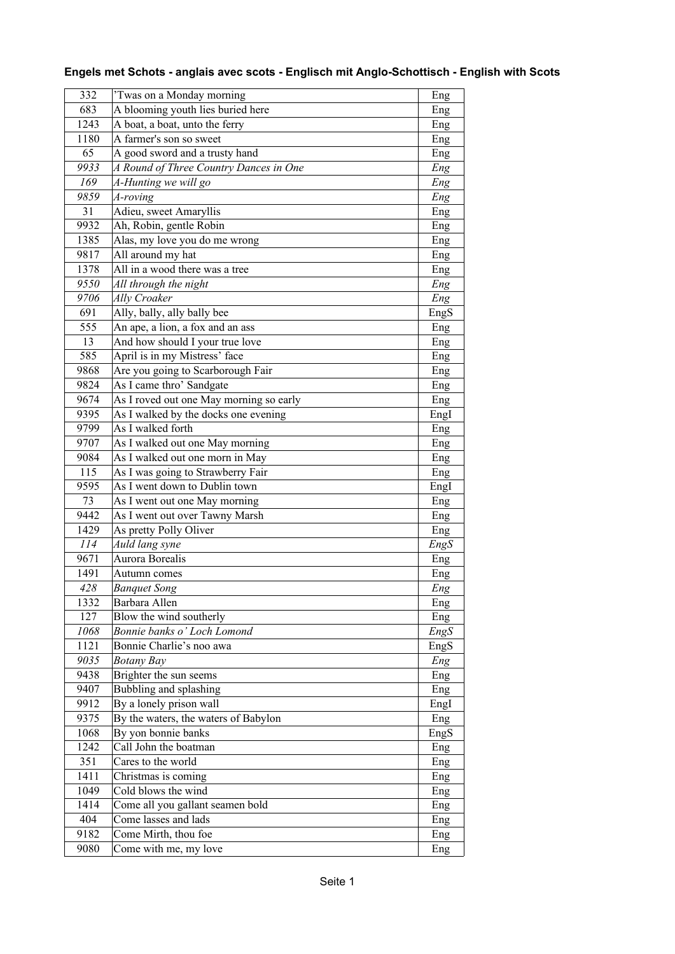| 332  | 'Twas on a Monday morning                  | Eng  |
|------|--------------------------------------------|------|
| 683  | A blooming youth lies buried here          | Eng  |
| 1243 | A boat, a boat, unto the ferry             | Eng  |
| 1180 | A farmer's son so sweet                    | Eng  |
| 65   | A good sword and a trusty hand             | Eng  |
| 9933 | A Round of Three Country Dances in One     | Eng  |
| 169  | A-Hunting we will go                       | Eng  |
| 9859 | $A$ -roving                                | Eng  |
| 31   | Adieu, sweet Amaryllis                     | Eng  |
| 9932 | Ah, Robin, gentle Robin                    | Eng  |
| 1385 | Alas, my love you do me wrong              | Eng  |
| 9817 | All around my hat                          | Eng  |
| 1378 | All in a wood there was a tree             | Eng  |
| 9550 | All through the night                      | Eng  |
| 9706 | Ally Croaker                               | Eng  |
| 691  | Ally, bally, ally bally bee                | EngS |
| 555  | An ape, a lion, a fox and an ass           | Eng  |
| 13   | And how should I your true love            | Eng  |
| 585  | April is in my Mistress' face              | Eng  |
| 9868 | Are you going to Scarborough Fair          | Eng  |
| 9824 | As I came thro' Sandgate                   | Eng  |
| 9674 | As I roved out one May morning so early    | Eng  |
| 9395 | As I walked by the docks one evening       | Engl |
| 9799 | As I walked forth                          | Eng  |
| 9707 | As I walked out one May morning            | Eng  |
| 9084 | As I walked out one morn in May            | Eng  |
| 115  | As I was going to Strawberry Fair          | Eng  |
| 9595 | As I went down to Dublin town              | EngI |
| 73   | As I went out one May morning              | Eng  |
| 9442 | As I went out over Tawny Marsh             | Eng  |
| 1429 | As pretty Polly Oliver                     | Eng  |
| 114  | Auld lang syne                             | EngS |
| 9671 | Aurora Borealis                            | Eng  |
| 1491 | Autumn comes                               | Eng  |
| 428  | <b>Banquet Song</b>                        | Eng  |
| 1332 | Barbara Allen                              | Eng  |
| 127  | Blow the wind southerly                    | Eng  |
| 1068 | Bonnie banks o' Loch Lomond                | EngS |
| 1121 | Bonnie Charlie's noo awa                   | EngS |
| 9035 | <b>Botany Bay</b>                          | Eng  |
| 9438 | Brighter the sun seems                     | Eng  |
| 9407 | Bubbling and splashing                     | Eng  |
| 9912 | By a lonely prison wall                    | EngI |
| 9375 | By the waters, the waters of Babylon       | Eng  |
| 1068 | By yon bonnie banks                        |      |
| 1242 | Call John the boatman                      | EngS |
|      | Cares to the world                         | Eng  |
| 351  |                                            | Eng  |
| 1411 | Christmas is coming<br>Cold blows the wind | Eng  |
| 1049 |                                            | Eng  |
| 1414 | Come all you gallant seamen bold           | Eng  |
| 404  | Come lasses and lads                       | Eng  |
| 9182 | Come Mirth, thou foe                       | Eng  |
| 9080 | Come with me, my love                      | Eng  |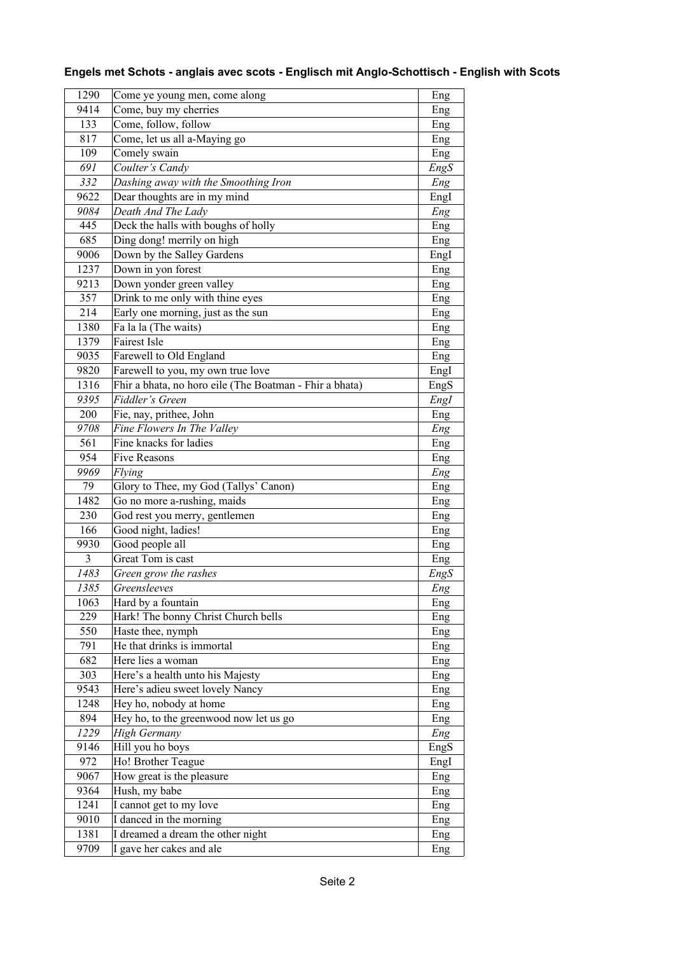| 1290 | Come ye young men, come along                           | Eng  |
|------|---------------------------------------------------------|------|
| 9414 | Come, buy my cherries                                   | Eng  |
| 133  | Come, follow, follow                                    | Eng  |
| 817  | Come, let us all a-Maying go                            | Eng  |
| 109  | Comely swain                                            | Eng  |
| 691  | Coulter's Candy                                         | EngS |
| 332  | Dashing away with the Smoothing Iron                    | Eng  |
| 9622 | Dear thoughts are in my mind                            | EngI |
| 9084 | Death And The Lady                                      | Eng  |
| 445  | Deck the halls with boughs of holly                     | Eng  |
| 685  | Ding dong! merrily on high                              | Eng  |
| 9006 | Down by the Salley Gardens                              | EngI |
| 1237 | Down in yon forest                                      |      |
|      |                                                         | Eng  |
| 9213 | Down yonder green valley                                | Eng  |
| 357  | Drink to me only with thine eyes                        | Eng  |
| 214  | Early one morning, just as the sun                      | Eng  |
| 1380 | Fa la la (The waits)                                    | Eng  |
| 1379 | <b>Fairest Isle</b>                                     | Eng  |
| 9035 | Farewell to Old England                                 | Eng  |
| 9820 | Farewell to you, my own true love                       | EngI |
| 1316 | Fhir a bhata, no horo eile (The Boatman - Fhir a bhata) | EngS |
| 9395 | Fiddler's Green                                         | EngI |
| 200  | Fie, nay, prithee, John                                 | Eng  |
| 9708 | Fine Flowers In The Valley                              | Eng  |
| 561  | Fine knacks for ladies                                  | Eng  |
| 954  | Five Reasons                                            | Eng  |
| 9969 | Flying                                                  | Eng  |
| 79   | Glory to Thee, my God (Tallys' Canon)                   | Eng  |
| 1482 | Go no more a-rushing, maids                             | Eng  |
| 230  | God rest you merry, gentlemen                           | Eng  |
| 166  | Good night, ladies!                                     | Eng  |
| 9930 | Good people all                                         | Eng  |
| 3    | Great Tom is cast                                       | Eng  |
| 1483 | Green grow the rashes                                   | EngS |
| 1385 | Greensleeves                                            | Eng  |
| 1063 |                                                         |      |
|      | Hard by a fountain                                      | Eng  |
| 229  | Hark! The bonny Christ Church bells                     | Eng  |
| 550  | Haste thee, nymph                                       | Eng  |
| 791  | He that drinks is immortal                              | Eng  |
| 682  | Here lies a woman                                       | Eng  |
| 303  | Here's a health unto his Majesty                        | Eng  |
| 9543 | Here's adieu sweet lovely Nancy                         | Eng  |
| 1248 | Hey ho, nobody at home                                  | Eng  |
| 894  | Hey ho, to the greenwood now let us go                  | Eng  |
| 1229 | <b>High Germany</b>                                     | Eng  |
| 9146 | Hill you ho boys                                        | EngS |
| 972  | Ho! Brother Teague                                      | EngI |
| 9067 | How great is the pleasure                               | Eng  |
| 9364 | Hush, my babe                                           | Eng  |
| 1241 | I cannot get to my love                                 | Eng  |
| 9010 | I danced in the morning                                 | Eng  |
| 1381 | I dreamed a dream the other night                       | Eng  |
|      |                                                         |      |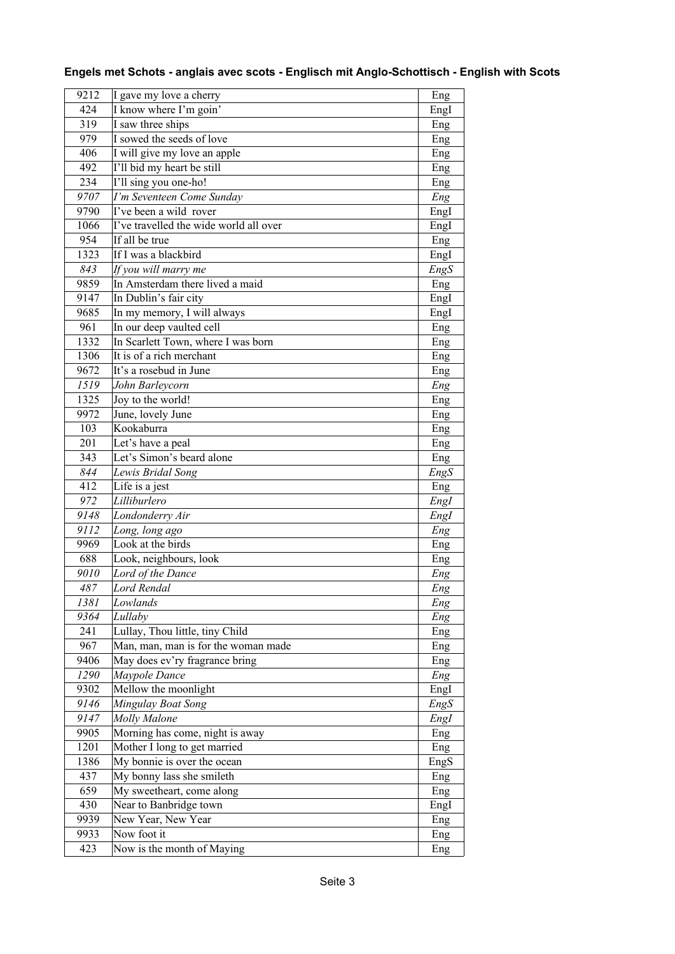| 9212 | I gave my love a cherry                | Eng  |
|------|----------------------------------------|------|
| 424  | I know where I'm goin'                 | Engl |
| 319  | I saw three ships                      | Eng  |
| 979  | I sowed the seeds of love              | Eng  |
| 406  | I will give my love an apple           | Eng  |
| 492  | I'll bid my heart be still             | Eng  |
| 234  | I'll sing you one-ho!                  | Eng  |
| 9707 | I'm Seventeen Come Sunday              | Eng  |
| 9790 | I've been a wild rover                 | EngI |
| 1066 | I've travelled the wide world all over | EngI |
| 954  | If all be true                         |      |
|      |                                        | Eng  |
| 1323 | If I was a blackbird                   | EngI |
| 843  | If you will marry me                   | EngS |
| 9859 | In Amsterdam there lived a maid        | Eng  |
| 9147 | In Dublin's fair city                  | EngI |
| 9685 | In my memory, I will always            | EngI |
| 961  | In our deep vaulted cell               | Eng  |
| 1332 | In Scarlett Town, where I was born     | Eng  |
| 1306 | It is of a rich merchant               | Eng  |
| 9672 | It's a rosebud in June                 | Eng  |
| 1519 | John Barleycorn                        | Eng  |
| 1325 | Joy to the world!                      | Eng  |
| 9972 | June, lovely June                      | Eng  |
| 103  | Kookaburra                             | Eng  |
| 201  | Let's have a peal                      | Eng  |
| 343  | Let's Simon's beard alone              | Eng  |
| 844  | Lewis Bridal Song                      | EngS |
| 412  | Life is a jest                         | Eng  |
| 972  | Lilliburlero                           | EngI |
| 9148 | Londonderry Air                        | EngI |
| 9112 | Long, long ago                         |      |
|      | Look at the birds                      | Eng  |
| 9969 |                                        | Eng  |
| 688  | Look, neighbours, look                 | Eng  |
| 9010 | Lord of the Dance                      | Eng  |
| 487  | Lord Rendal                            | Eng  |
| 1381 | Lowlands                               | Eng  |
| 9364 | Lullaby                                | Eng  |
| 241  | Lullay, Thou little, tiny Child        | Eng  |
| 967  | Man, man, man is for the woman made    | Eng  |
| 9406 | May does ev'ry fragrance bring         | Eng  |
| 1290 | Maypole Dance                          | Eng  |
| 9302 | Mellow the moonlight                   | EngI |
| 9146 | Mingulay Boat Song                     | EngS |
| 9147 | Molly Malone                           | EngI |
| 9905 | Morning has come, night is away        | Eng  |
| 1201 | Mother I long to get married           | Eng  |
| 1386 | My bonnie is over the ocean            | EngS |
| 437  | My bonny lass she smileth              | Eng  |
| 659  | My sweetheart, come along              | Eng  |
| 430  | Near to Banbridge town                 | EngI |
| 9939 | New Year, New Year                     | Eng  |
| 9933 | Now foot it                            |      |
|      |                                        | Eng  |
| 423  | Now is the month of Maying             | Eng  |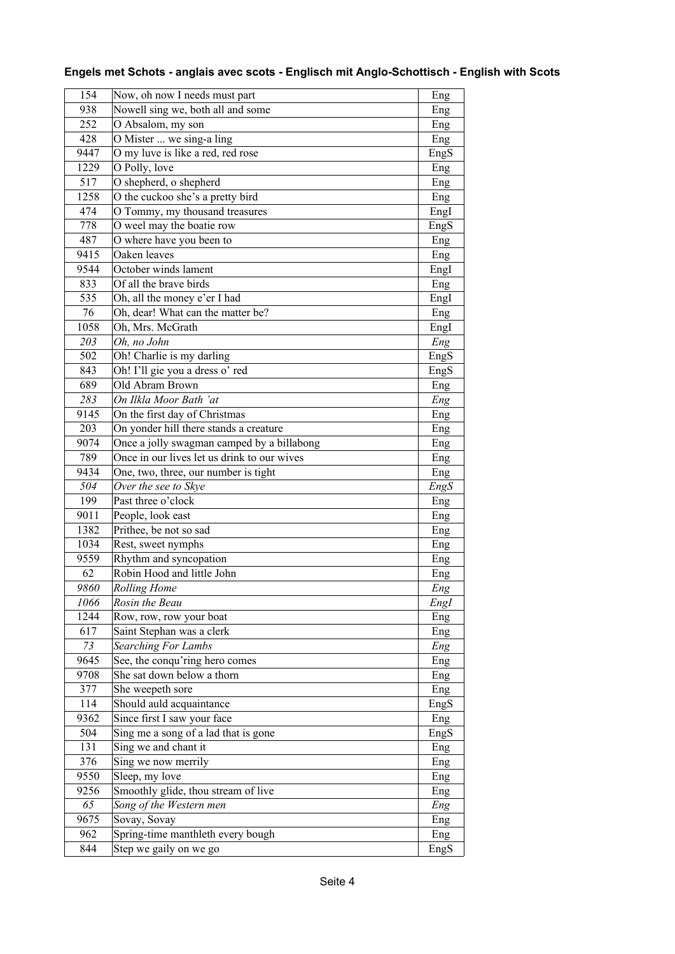| 154  | Now, oh now I needs must part               | Eng  |
|------|---------------------------------------------|------|
| 938  | Nowell sing we, both all and some           | Eng  |
| 252  | O Absalom, my son                           | Eng  |
| 428  | O Mister  we sing-a ling                    | Eng  |
| 9447 | O my luve is like a red, red rose           | EngS |
| 1229 | O Polly, love                               | Eng  |
| 517  | O shepherd, o shepherd                      | Eng  |
| 1258 | O the cuckoo she's a pretty bird            | Eng  |
| 474  | O Tommy, my thousand treasures              | EngI |
| 778  | O weel may the boatie row                   | EngS |
| 487  | O where have you been to                    | Eng  |
| 9415 | Oaken leaves                                | Eng  |
| 9544 | October winds lament                        | EngI |
| 833  | Of all the brave birds                      | Eng  |
| 535  | Oh, all the money e'er I had                | EngI |
| 76   | Oh, dear! What can the matter be?           | Eng  |
| 1058 | Oh. Mrs. McGrath                            | EngI |
| 203  | Oh, no John                                 | Eng  |
| 502  | Oh! Charlie is my darling                   | EngS |
| 843  | Oh! I'll gie you a dress o' red             | EngS |
| 689  | Old Abram Brown                             | Eng  |
| 283  | On Ilkla Moor Bath 'at                      | Eng  |
| 9145 | On the first day of Christmas               | Eng  |
| 203  | On yonder hill there stands a creature      | Eng  |
| 9074 | Once a jolly swagman camped by a billabong  | Eng  |
| 789  | Once in our lives let us drink to our wives | Eng  |
| 9434 | One, two, three, our number is tight        | Eng  |
| 504  | Over the see to Skye                        | EngS |
| 199  | Past three o'clock                          | Eng  |
| 9011 | People, look east                           | Eng  |
| 1382 | Prithee, be not so sad                      | Eng  |
| 1034 | Rest, sweet nymphs                          | Eng  |
| 9559 | Rhythm and syncopation                      | Eng  |
| 62   | Robin Hood and little John                  | Eng  |
| 9860 | <b>Rolling Home</b>                         | Eng  |
| 1066 | Rosin the Beau                              | EngI |
| 1244 | Row, row, row your boat                     | Eng  |
| 617  | Saint Stephan was a clerk                   | Eng  |
| 73   | <b>Searching For Lambs</b>                  | Eng  |
| 9645 | See, the conqu'ring hero comes              | Eng  |
| 9708 | She sat down below a thorn                  | Eng  |
| 377  | She weepeth sore                            | Eng  |
| 114  | Should auld acquaintance                    | EngS |
| 9362 | Since first I saw your face                 | Eng  |
| 504  | Sing me a song of a lad that is gone        | EngS |
| 131  | Sing we and chant it                        | Eng  |
| 376  | Sing we now merrily                         | Eng  |
| 9550 | Sleep, my love                              |      |
| 9256 | Smoothly glide, thou stream of live         | Eng  |
| 65   |                                             | Eng  |
|      | Song of the Western men                     | Eng  |
| 9675 | Sovay, Sovay                                | Eng  |
| 962  | Spring-time manthleth every bough           | Eng  |
| 844  | Step we gaily on we go                      | EngS |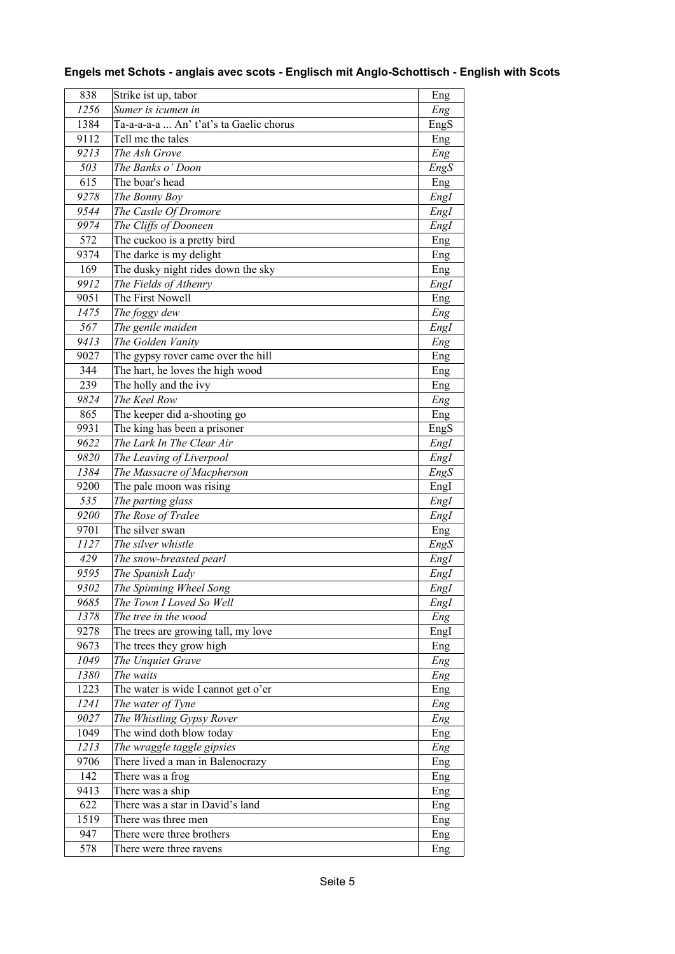| 838  | Strike ist up, tabor                    | Eng  |
|------|-----------------------------------------|------|
| 1256 | Sumer is icumen in                      | Eng  |
| 1384 | Ta-a-a-a-a  An' t'at's ta Gaelic chorus | EngS |
| 9112 | Tell me the tales                       | Eng  |
| 9213 | The Ash Grove                           | Eng  |
| 503  | The Banks o' Doon                       | EngS |
| 615  | The boar's head                         | Eng  |
| 9278 | The Bonny Boy                           | EngI |
| 9544 | The Castle Of Dromore                   | EngI |
| 9974 | The Cliffs of Dooneen                   | Engl |
| 572  | The cuckoo is a pretty bird             | Eng  |
| 9374 | The darke is my delight                 | Eng  |
| 169  | The dusky night rides down the sky      | Eng  |
| 9912 | The Fields of Athenry                   | EngI |
| 9051 | The First Nowell                        | Eng  |
| 1475 | The foggy dew                           | Eng  |
| 567  | The gentle maiden                       | Engl |
| 9413 | The Golden Vanity                       | Eng  |
| 9027 | The gypsy rover came over the hill      | Eng  |
| 344  | The hart, he loves the high wood        | Eng  |
| 239  | The holly and the ivy                   | Eng  |
| 9824 | The Keel Row                            | Eng  |
| 865  | The keeper did a-shooting go            | Eng  |
| 9931 | The king has been a prisoner            | EngS |
| 9622 | The Lark In The Clear Air               | Engl |
| 9820 | The Leaving of Liverpool                | EngI |
| 1384 | The Massacre of Macpherson              | EngS |
| 9200 | The pale moon was rising                | EngI |
| 535  | The parting glass                       | Engl |
| 9200 | The Rose of Tralee                      | EngI |
| 9701 | The silver swan                         | Eng  |
| 1127 | The silver whistle                      | EngS |
| 429  | The snow-breasted pearl                 | EngI |
| 9595 | The Spanish Lady                        | EngI |
| 9302 | The Spinning Wheel Song                 | Engl |
| 9685 | The Town I Loved So Well                | EngI |
| 1378 | The tree in the wood                    | Eng  |
| 9278 | The trees are growing tall, my love     | EngI |
| 9673 | The trees they grow high                | Eng  |
| 1049 | The Unquiet Grave                       | Eng  |
| 1380 | The waits                               | Eng  |
| 1223 | The water is wide I cannot get o'er     | Eng  |
| 1241 | The water of Tyne                       | Eng  |
| 9027 | The Whistling Gypsy Rover               | Eng  |
| 1049 | The wind doth blow today                | Eng  |
| 1213 | The wraggle taggle gipsies              | Eng  |
| 9706 | There lived a man in Balenocrazy        | Eng  |
| 142  | There was a frog                        |      |
| 9413 | There was a ship                        | Eng  |
| 622  | There was a star in David's land        | Eng  |
| 1519 | There was three men                     | Eng  |
| 947  | There were three brothers               | Eng  |
|      |                                         | Eng  |
| 578  | There were three ravens                 | Eng  |